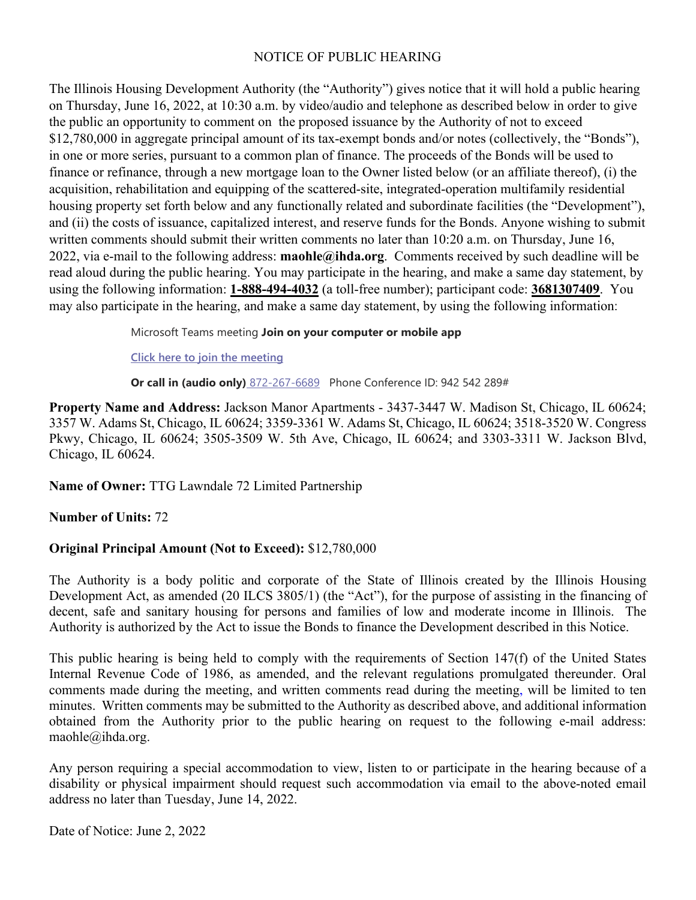## NOTICE OF PUBLIC HEARING

The Illinois Housing Development Authority (the "Authority") gives notice that it will hold a public hearing on Thursday, June 16, 2022, at 10:30 a.m. by video/audio and telephone as described below in order to give the public an opportunity to comment on the proposed issuance by the Authority of not to exceed \$12,780,000 in aggregate principal amount of its tax-exempt bonds and/or notes (collectively, the "Bonds"), in one or more series, pursuant to a common plan of finance. The proceeds of the Bonds will be used to finance or refinance, through a new mortgage loan to the Owner listed below (or an affiliate thereof), (i) the acquisition, rehabilitation and equipping of the scattered-site, integrated-operation multifamily residential housing property set forth below and any functionally related and subordinate facilities (the "Development"), and (ii) the costs of issuance, capitalized interest, and reserve funds for the Bonds. Anyone wishing to submit written comments should submit their written comments no later than 10:20 a.m. on Thursday, June 16, 2022, via e-mail to the following address: **maohle@ihda.org**. Comments received by such deadline will be read aloud during the public hearing. You may participate in the hearing, and make a same day statement, by using the following information: **1-888-494-4032** (a toll-free number); participant code: **3681307409**. You may also participate in the hearing, and make a same day statement, by using the following information:

Microsoft Teams meeting **Join on your computer or mobile app**

**Click here to join the meeting**

**Or call in (audio only)** 872-267-6689 Phone Conference ID: 942 542 289#

**Property Name and Address:** Jackson Manor Apartments - 3437-3447 W. Madison St, Chicago, IL 60624; 3357 W. Adams St, Chicago, IL 60624; 3359-3361 W. Adams St, Chicago, IL 60624; 3518-3520 W. Congress Pkwy, Chicago, IL 60624; 3505-3509 W. 5th Ave, Chicago, IL 60624; and 3303-3311 W. Jackson Blvd, Chicago, IL 60624.

**Name of Owner:** TTG Lawndale 72 Limited Partnership

## **Number of Units:** 72

## **Original Principal Amount (Not to Exceed):** \$12,780,000

The Authority is a body politic and corporate of the State of Illinois created by the Illinois Housing Development Act, as amended (20 ILCS 3805/1) (the "Act"), for the purpose of assisting in the financing of decent, safe and sanitary housing for persons and families of low and moderate income in Illinois. The Authority is authorized by the Act to issue the Bonds to finance the Development described in this Notice.

This public hearing is being held to comply with the requirements of Section 147(f) of the United States Internal Revenue Code of 1986, as amended, and the relevant regulations promulgated thereunder. Oral comments made during the meeting, and written comments read during the meeting, will be limited to ten minutes. Written comments may be submitted to the Authority as described above, and additional information obtained from the Authority prior to the public hearing on request to the following e-mail address: maohle@ihda.org.

Any person requiring a special accommodation to view, listen to or participate in the hearing because of a disability or physical impairment should request such accommodation via email to the above-noted email address no later than Tuesday, June 14, 2022.

Date of Notice: June 2, 2022